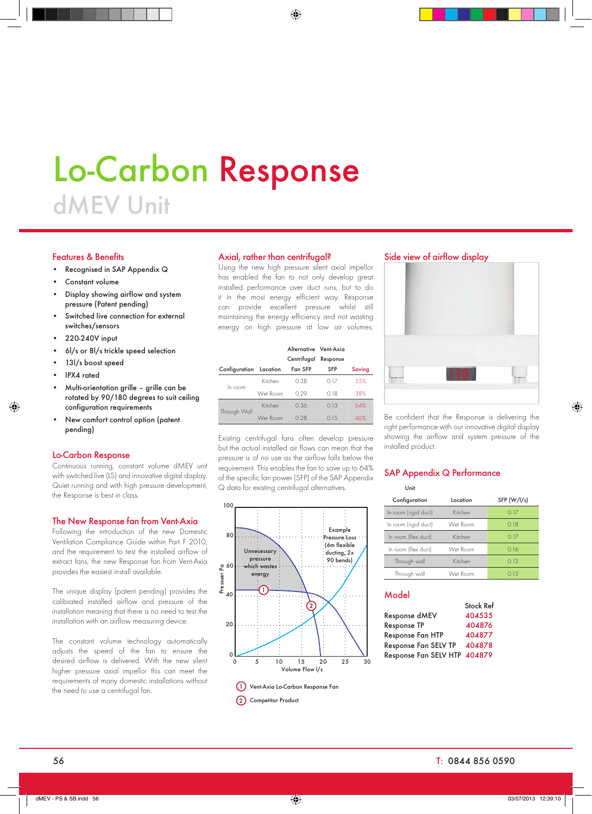# Lo-Carbon Response dMEV Unit

### Features & Benefits

- Recognised in SAP Appendix Q
- Constant volume
- Display showing airflow and system pressure (Patent pending)
- Switched live connection for external switches/sensors
- 220-240V input
- 6l/s or 8l/s trickle speed selection
- 13l/s boost speed
- IPX4 rated
- Multi-orientation grille grille can be rotated by 90/180 degrees to suit ceiling configuration requirements
- New comfort control option (patent pending)

### Lo-Carbon Response

Continuous running, constant volume dMEV unit with switched live (LS) and innovative digital display. Quiet running and with high pressure development, the Response is best in class.

### The New Response fan from Vent-Axia

Following the introduction of the new Domestic Ventilation Compliance Guide within Part F 2010, and the requirement to test the installed airflow of extract fans, the new Response fan from Vent-Axia provides the easiest install available.

The unique display (patent pending) provides the calibrated installed airflow and pressure of the installation meaning that there is no need to test the installation with an airflow measuring device.

The constant volume technology automatically adjusts the speed of the fan to ensure the desired airflow is delivered. With the new silent higher pressure axial impellor this can meet the requirements of many domestic installations without the need to use a centrifugal fan.

#### Axial, rather than centrifugal?

Using the new high pressure silent axial impellor has enabled the fan to not only develop great installed performance over duct runs, but to do it in the most energy efficient way. Response can provide excellent pressure whilst still maintaining the energy efficiency and not wasting energy on high pressure at low air volumes.

|  |                        |          | Alternative Vent-Axia |          |        |
|--|------------------------|----------|-----------------------|----------|--------|
|  |                        |          | Centrifugal           | Response |        |
|  | Configuration Location |          | Fan SFP               | SFP      | Saving |
|  | In room                | Kitchen  | 0.38                  | 0.17     | .55%   |
|  |                        | Wet Room | 0.29                  | 018      | 38%    |
|  | Through Wall           | Kitchen  | 0.36                  | 0.13     | 64%    |
|  |                        | Wet Room | 0.28                  | O 15     | 46%    |

Existing centrifugal fans often develop pressure but the actual installed air flows can mean that the pressure is of no use as the airflow falls below the requirement. This enables the fan to save up to 64% of the specific fan power (SFP) of the SAP Appendix Q data for existing centrifugal alternatives.



## Side view of airflow display



Be confident that the Response is delivering the right performance with our innovative digital display showing the airflow and system pressure of the installed product.

# SAP Appendix Q Performance

Unit

| Configuration        | Location | SFP (W/l/s) |  |  |  |
|----------------------|----------|-------------|--|--|--|
| In room (rigid duct) | Kitchen  | 0.17        |  |  |  |
| In room (rigid duct) | Wet Room | 018         |  |  |  |
| In room (flex duct)  | Kitchen  | 0.17        |  |  |  |
| In room (flex duct)  | Wet Room | 0.16        |  |  |  |
| Through wall         | Kitchen  | 0.13        |  |  |  |
| Through wall         | Wet Room | 015         |  |  |  |

Stock Ref

## **Model**

|                              | этоск кет |
|------------------------------|-----------|
| Response dMEV                | 404535    |
| Response TP                  | 404876    |
| <b>Response Fan HTP</b>      | 404877    |
| Response Fan SELV TP         | 404878    |
| Response Fan SELV HTP 404879 |           |
|                              |           |